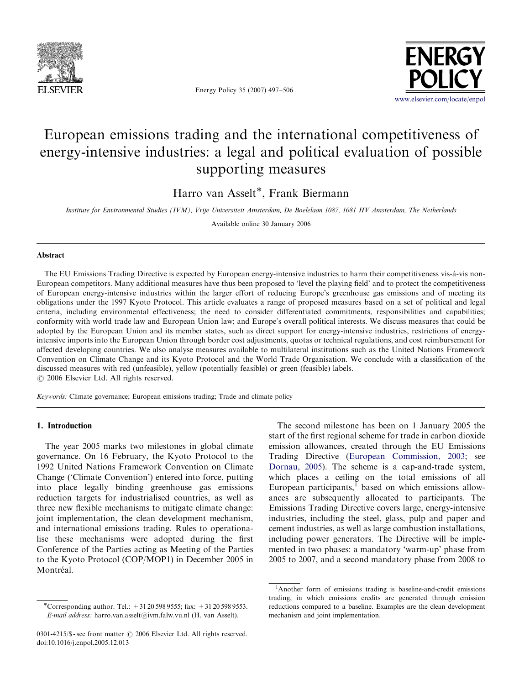

Energy Policy 35 (2007) 497–506



## European emissions trading and the international competitiveness of energy-intensive industries: a legal and political evaluation of possible supporting measures

Harro van Asselt\*, Frank Biermann

Institute for Environmental Studies (IVM), Vrije Universiteit Amsterdam, De Boelelaan 1087, 1081 HV Amsterdam, The Netherlands

Available online 30 January 2006

## Abstract

The EU Emissions Trading Directive is expected by European energy-intensive industries to harm their competitiveness vis-a`-vis non-European competitors. Many additional measures have thus been proposed to 'level the playing field' and to protect the competitiveness of European energy-intensive industries within the larger effort of reducing Europe's greenhouse gas emissions and of meeting its obligations under the 1997 Kyoto Protocol. This article evaluates a range of proposed measures based on a set of political and legal criteria, including environmental effectiveness; the need to consider differentiated commitments, responsibilities and capabilities; conformity with world trade law and European Union law; and Europe's overall political interests. We discuss measures that could be adopted by the European Union and its member states, such as direct support for energy-intensive industries, restrictions of energyintensive imports into the European Union through border cost adjustments, quotas or technical regulations, and cost reimbursement for affected developing countries. We also analyse measures available to multilateral institutions such as the United Nations Framework Convention on Climate Change and its Kyoto Protocol and the World Trade Organisation. We conclude with a classification of the discussed measures with red (unfeasible), yellow (potentially feasible) or green (feasible) labels.  $\odot$  2006 Elsevier Ltd. All rights reserved.

Keywords: Climate governance; European emissions trading; Trade and climate policy

## 1. Introduction

The year 2005 marks two milestones in global climate governance. On 16 February, the Kyoto Protocol to the 1992 United Nations Framework Convention on Climate Change ('Climate Convention') entered into force, putting into place legally binding greenhouse gas emissions reduction targets for industrialised countries, as well as three new flexible mechanisms to mitigate climate change: joint implementation, the clean development mechanism, and international emissions trading. Rules to operationalise these mechanisms were adopted during the first Conference of the Parties acting as Meeting of the Parties to the Kyoto Protocol (COP/MOP1) in December 2005 in Montréal.

The second milestone has been on 1 January 2005 the start of the first regional scheme for trade in carbon dioxide emission allowances, created through the EU Emissions Trading Directive ([European Commission, 2003;](#page--1-0) see [Dornau, 2005](#page--1-0)). The scheme is a cap-and-trade system, which places a ceiling on the total emissions of all European participants, $<sup>1</sup>$  based on which emissions allow-</sup> ances are subsequently allocated to participants. The Emissions Trading Directive covers large, energy-intensive industries, including the steel, glass, pulp and paper and cement industries, as well as large combustion installations, including power generators. The Directive will be implemented in two phases: a mandatory 'warm-up' phase from 2005 to 2007, and a second mandatory phase from 2008 to

<sup>\*</sup>Corresponding author. Tel.:  $+31205989555$ ; fax:  $+31205989553$ . E-mail address: harro.van.asselt@ivm.falw.vu.nl (H. van Asselt).

<sup>0301-4215/\$ -</sup> see front matter  $\odot$  2006 Elsevier Ltd. All rights reserved. doi:10.1016/j.enpol.2005.12.013

<sup>&</sup>lt;sup>1</sup>Another form of emissions trading is baseline-and-credit emissions trading, in which emissions credits are generated through emission reductions compared to a baseline. Examples are the clean development mechanism and joint implementation.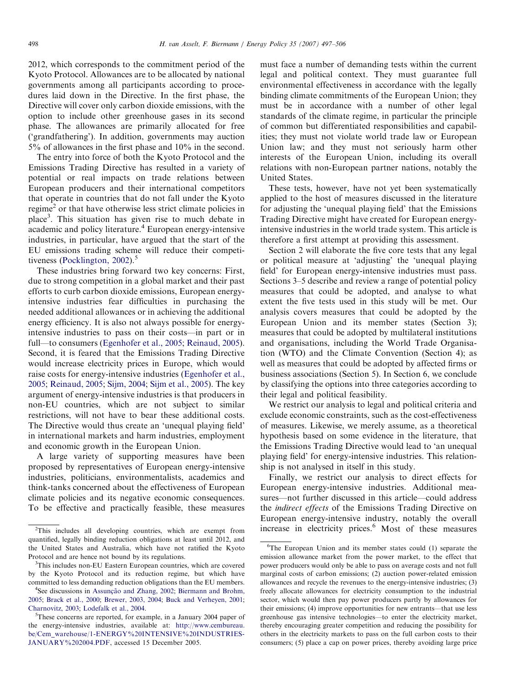2012, which corresponds to the commitment period of the Kyoto Protocol. Allowances are to be allocated by national governments among all participants according to procedures laid down in the Directive. In the first phase, the Directive will cover only carbon dioxide emissions, with the option to include other greenhouse gases in its second phase. The allowances are primarily allocated for free ('grandfathering'). In addition, governments may auction 5% of allowances in the first phase and 10% in the second.

The entry into force of both the Kyoto Protocol and the Emissions Trading Directive has resulted in a variety of potential or real impacts on trade relations between European producers and their international competitors that operate in countries that do not fall under the Kyoto regime<sup>2</sup> or that have otherwise less strict climate policies in place<sup>3</sup>. This situation has given rise to much debate in academic and policy literature.<sup>4</sup> European energy-intensive industries, in particular, have argued that the start of the EU emissions trading scheme will reduce their competi-tiveness [\(Pocklington, 2002\)](#page--1-0). $5$ 

These industries bring forward two key concerns: First, due to strong competition in a global market and their past efforts to curb carbon dioxide emissions, European energyintensive industries fear difficulties in purchasing the needed additional allowances or in achieving the additional energy efficiency. It is also not always possible for energyintensive industries to pass on their costs—in part or in full—to consumers ([Egenhofer et al., 2005](#page--1-0); [Reinaud, 2005\)](#page--1-0). Second, it is feared that the Emissions Trading Directive would increase electricity prices in Europe, which would raise costs for energy-intensive industries [\(Egenhofer et al.,](#page--1-0) [2005;](#page--1-0) [Reinaud, 2005](#page--1-0); [Sijm, 2004;](#page--1-0) [Sijm et al., 2005](#page--1-0)). The key argument of energy-intensive industries is that producers in non-EU countries, which are not subject to similar restrictions, will not have to bear these additional costs. The Directive would thus create an 'unequal playing field' in international markets and harm industries, employment and economic growth in the European Union.

A large variety of supporting measures have been proposed by representatives of European energy-intensive industries, politicians, environmentalists, academics and think-tanks concerned about the effectiveness of European climate policies and its negative economic consequences. To be effective and practically feasible, these measures must face a number of demanding tests within the current legal and political context. They must guarantee full environmental effectiveness in accordance with the legally binding climate commitments of the European Union; they must be in accordance with a number of other legal standards of the climate regime, in particular the principle of common but differentiated responsibilities and capabilities; they must not violate world trade law or European Union law; and they must not seriously harm other interests of the European Union, including its overall relations with non-European partner nations, notably the United States.

These tests, however, have not yet been systematically applied to the host of measures discussed in the literature for adjusting the 'unequal playing field' that the Emissions Trading Directive might have created for European energyintensive industries in the world trade system. This article is therefore a first attempt at providing this assessment.

Section 2 will elaborate the five core tests that any legal or political measure at 'adjusting' the 'unequal playing field' for European energy-intensive industries must pass. Sections 3–5 describe and review a range of potential policy measures that could be adopted, and analyse to what extent the five tests used in this study will be met. Our analysis covers measures that could be adopted by the European Union and its member states (Section 3); measures that could be adopted by multilateral institutions and organisations, including the World Trade Organisation (WTO) and the Climate Convention (Section 4); as well as measures that could be adopted by affected firms or business associations (Section 5). In Section 6, we conclude by classifying the options into three categories according to their legal and political feasibility.

We restrict our analysis to legal and political criteria and exclude economic constraints, such as the cost-effectiveness of measures. Likewise, we merely assume, as a theoretical hypothesis based on some evidence in the literature, that the Emissions Trading Directive would lead to 'an unequal playing field' for energy-intensive industries. This relationship is not analysed in itself in this study.

Finally, we restrict our analysis to direct effects for European energy-intensive industries. Additional measures—not further discussed in this article—could address the indirect effects of the Emissions Trading Directive on European energy-intensive industry, notably the overall increase in electricity prices.<sup>6</sup> Most of these measures

<sup>&</sup>lt;sup>2</sup>This includes all developing countries, which are exempt from quantified, legally binding reduction obligations at least until 2012, and the United States and Australia, which have not ratified the Kyoto Protocol and are hence not bound by its regulations.

<sup>&</sup>lt;sup>3</sup>This includes non-EU Eastern European countries, which are covered by the Kyoto Protocol and its reduction regime, but which have committed to less demanding reduction obligations than the EU members. <sup>4</sup>

<sup>&</sup>lt;sup>4</sup>See discussions in Assunção and Zhang, 2002; [Biermann and Brohm,](#page--1-0) [2005;](#page--1-0) [Brack et al., 2000;](#page--1-0) [Brewer, 2003, 2004](#page--1-0); [Buck and Verheyen, 2001;](#page--1-0) [Charnovitz, 2003;](#page--1-0) [Lodefalk et al., 2004.](#page--1-0)

 $5$ These concerns are reported, for example, in a January 2004 paper of the energy-intensive industries, available at: [http://www.cembureau.](http://www.cembureau.be/Cem_warehouse/1-ENERGY%20INTENSIVE%20INDUSTRIES-JANUARY%202004.PDF) [be/Cem\\_warehouse/1-ENERGY%20INTENSIVE%20INDUSTRIES-](http://www.cembureau.be/Cem_warehouse/1-ENERGY%20INTENSIVE%20INDUSTRIES-JANUARY%202004.PDF)[JANUARY%202004.PDF,](http://www.cembureau.be/Cem_warehouse/1-ENERGY%20INTENSIVE%20INDUSTRIES-JANUARY%202004.PDF) accessed 15 December 2005.

<sup>6</sup> The European Union and its member states could (1) separate the emission allowance market from the power market, to the effect that power producers would only be able to pass on average costs and not full marginal costs of carbon emissions; (2) auction power-related emission allowances and recycle the revenues to the energy-intensive industries; (3) freely allocate allowances for electricity consumption to the industrial sector, which would then pay power producers partly by allowances for their emissions; (4) improve opportunities for new entrants—that use less greenhouse gas intensive technologies—to enter the electricity market, thereby encouraging greater competition and reducing the possibility for others in the electricity markets to pass on the full carbon costs to their consumers; (5) place a cap on power prices, thereby avoiding large price